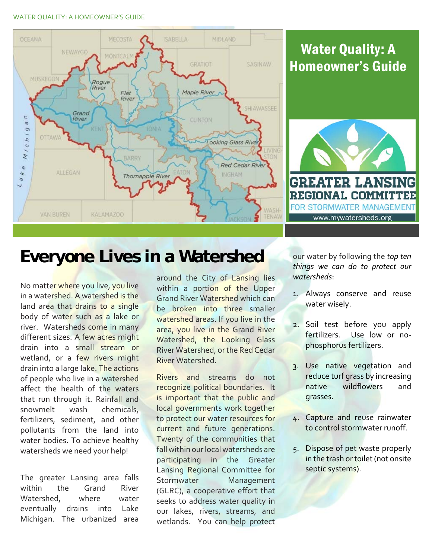## WATER QUALITY: A HOMEOWNER'S GUIDE



## Water Quality: A Homeowner's Guide



## **Everyone Lives in a Watershed**

No matte<mark>r wher</mark>e you live, you live in a wate<mark>rshed. A watershed is the</mark> land area that drains to a single body of water such as a lake or river. Watersheds come in many different sizes. A few acres might drain into a small stream or wetland, or a few rivers might drain into a large lake. The actions of people who live in a watershed affect the health of the waters that run through it. Rainfall and snowmelt wash fertilizers, sediment, and other pollutants from the land into water bodies. To achieve healthy watersheds we need your help! chemicals,

 The greater Lansing area falls within the Grand River where water eventually drains into Lake Michigan. The urbanized area Watershed.

around the City of Lansing lies within a portion of the Upper Grand River Watershed which can be broken into three smaller watershed areas. If you live in the area, you live in the Grand River Watershed, the Looking Glass River Watershed, orthe Red Cedar River Watershed.

Rivers and streams do not recognize political boundaries. It is important that the public and local governments work together to protect our water resources for current and future generations. Twenty of the communities that fall within ourlocal watersheds are participating in the Greater Lansing Regional Committee for (GLRC), a cooperative effort that seeks to address water quality in our lakes, rivers, streams, and wetlands. You can help protect Stormwater Management

  our water by following the *top ten things we can do to protect our watersheds*:

- 1. Always conserve and reuse water wisely.
- 2. Soil test before you apply fertilizers. Use low or no‐ phosphorus fertilizers.
- 3. Use native vegetation and reduce turf grass by increasing and native wildflowers grasses.
- 4. Capture and reuse rainwater to control stormwater runoff.
- 5. Dispose of pet waste properly in the trash or toilet (not onsite septic systems).